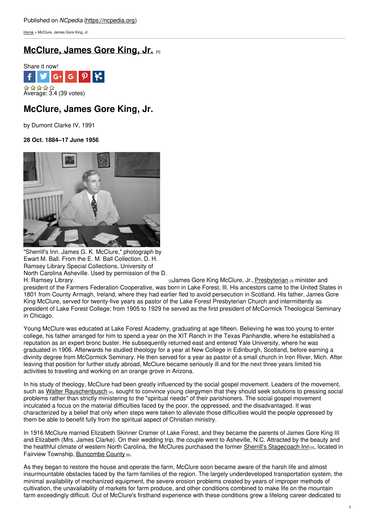[Home](https://ncpedia.org/) > McClure, James Gore King, Jr.

# **[McClure,](https://ncpedia.org/biography/mcclure-james-gore-king) James Gore King, Jr. [1]**



# **McClure, James Gore King, Jr.**

by Dumont Clarke IV, 1991

**28 Oct. 1884–17 June 1956**



"Sherrill's Inn. James G. K. McClure," photograph by Ewart M. Ball. From the E. M. Ball Collection, D. H. Ramsey Library Special Collections, University of North Carolina Asheville. Used by permission of the D.

H. [Ramsey](http://cdm15733.contentdm.oclc.org/cdm/ref/collection/Photographs/id/742) Library. The Communisties of the Communist Paper School and Equation in the Communister and H. Resolution of the Communister and president of the Farmers Federation Cooperative, was born in Lake Forest, Ill. His ancestors came to the United States in 1801 from County Armagh, Ireland, where they had earlier fled to avoid persecution in Scotland. His father, James Gore King McClure, served for twenty-five years as pastor of the Lake Forest Presbyterian Church and intermittently as president of Lake Forest College; from 1905 to 1929 he served as the first president of McCormick Theological Seminary in Chicago.

Young McClure was educated at Lake Forest Academy, graduating at age fifteen. Believing he was too young to enter college, his father arranged for him to spend a year on the XIT Ranch in the Texas Panhandle, where he established a reputation as an expert bronc buster. He subsequently returned east and entered Yale University, where he was graduated in 1906. Afterwards he studied theology for a year at New College in Edinburgh, Scotland, before earning a divinity degree from McCormick Seminary. He then served for a year as pastor of a small church in Iron River, Mich. After leaving that position for further study abroad, McClure became seriously ill and for the next three years limited his activities to traveling and working on an orange grove in Arizona.

In his study of theology, McClure had been greatly influenced by the social gospel movement. Leaders of the movement, such as Walter [Rauschenbusch](http://www.pbs.org/godinamerica/people/walter-rauschenbusch.html) [4], sought to convince young clergymen that they should seek solutions to pressing social problems rather than strictly ministering to the "spiritual needs" of their parishioners. The social gospel movement inculcated a focus on the material difficulties faced by the poor, the oppressed, and the disadvantaged. It was characterized by a belief that only when steps were taken to alleviate those difficulties would the people oppressed by them be able to benefit fully from the spiritual aspect of Christian ministry.

In 1916 McClure married Elizabeth Skinner Cramer of Lake Forest, and they became the parents of James Gore King III and Elizabeth (Mrs. James Clarke). On their wedding trip, the couple went to Asheville, N.C. Attracted by the beauty and the healthful climate of western North Carolina, the McClures purchased the former Sherrill's [Stagecoach](https://www.nps.gov/nr/travel/asheville/she.htm) Inn [5], located in Fairview Township, [Buncombe](https://ncpedia.org/geography/buncombe) County [6].

As they began to restore the house and operate the farm, McClure soon became aware of the harsh life and almost insurmountable obstacles faced by the farm families of the region. The largely underdeveloped transportation system, the minimal availability of mechanized equipment, the severe erosion problems created by years of improper methods of cultivation, the unavailability of markets for farm produce, and other conditions combined to make life on the mountain farm exceedingly difficult. Out of McClure's firsthand experience with these conditions grew a lifelong career dedicated to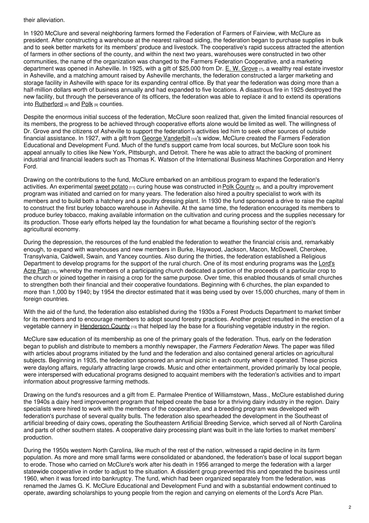## their alleviation.

In 1920 McClure and several neighboring farmers formed the Federation of Farmers of Fairview, with McClure as president. After constructing a warehouse at the nearest railroad siding, the federation began to purchase supplies in bulk and to seek better markets for its members' produce and livestock. The cooperative's rapid success attracted the attention of farmers in other sections of the county, and within the next two years, warehouses were constructed in two other communities, the name of the organization was changed to the Farmers Federation Cooperative, and a marketing department was opened in Asheville. In 1925, with a gift of \$25,000 from Dr. E. W. [Grove](https://ncpedia.org/biography/grove-edwin-wiley)  $[7]$ , a wealthy real estate investor in Asheville, and a matching amount raised by Asheville merchants, the federation constructed a larger marketing and storage facility in Asheville with space for its expanding central office. By that year the federation was doing more than a half-million dollars worth of business annually and had expanded to five locations. A disastrous fire in 1925 destroyed the new facility, but through the perseverance of its officers, the federation was able to replace it and to extend its operations into **[Rutherford](https://ncpedia.org/geography/rutherford)**  $[8]$  and **[Polk](https://ncpedia.org/geography/polk)**  $[9]$  counties.

Despite the enormous initial success of the federation, McClure soon realized that, given the limited financial resources of its members, the progress to be achieved through cooperative efforts alone would be limited as well. The willingness of Dr. Grove and the citizens of Asheville to support the federation's activities led him to seek other sources of outside financial assistance. In 1927, with a gift from George [Vanderbilt](https://ncpedia.org/biography/vanderbilt-george) [10]'s widow, McClure created the Farmers Federation Educational and Development Fund. Much of the fund's support came from local sources, but McClure soon took his appeal annually to cities like New York, Pittsburgh, and Detroit. There he was able to attract the backing of prominent industrial and financial leaders such as Thomas K. Watson of the International Business Machines Corporation and Henry Ford.

Drawing on the contributions to the fund, McClure embarked on an ambitious program to expand the federation's activities. An experimental sweet [potato](https://ncpedia.org/symbols/vegetable)  $[11]$  curing house was constructed in Polk [County](https://ncpedia.org/geography/polk)  $[9]$ , and a poultry improvement program was initiated and carried on for many years. The federation also hired a poultry specialist to work with its members and to build both a hatchery and a poultry dressing plant. In 1930 the fund sponsored a drive to raise the capital to construct the first burley tobacco warehouse in Asheville. At the same time, the federation encouraged its members to produce burley tobacco, making available information on the cultivation and curing process and the supplies necessary for its production. Those early efforts helped lay the foundation for what became a flourishing sector of the region's agricultural economy.

During the depression, the resources of the fund enabled the federation to weather the financial crisis and, remarkably enough, to expand with warehouses and new members in Burke, Haywood, Jackson, Macon, McDowell, Cherokee, Transylvania, Caldwell, Swain, and Yancey counties. Also during the thirties, the federation established a Religious [Department](https://ncpedia.org/lords-acre-plan) to develop programs for the support of the rural church. One of its most enduring programs was the Lord's Acre Plan [12], whereby the members of a participating church dedicated a portion of the proceeds of a particular crop to the church or joined together in raising a crop for the same purpose. Over time, this enabled thousands of small churches to strengthen both their financial and their cooperative foundations. Beginning with 6 churches, the plan expanded to more than 1,000 by 1940; by 1954 the director estimated that it was being used by over 15,000 churches, many of them in foreign countries.

With the aid of the fund, the federation also established during the 1930s a Forest Products Department to market timber for its members and to encourage members to adopt sound forestry practices. Another project resulted in the erection of a vegetable cannery in [Henderson](https://ncpedia.org/geography/henderson) County [13] that helped lay the base for a flourishing vegetable industry in the region.

McClure saw education of its membership as one of the primary goals of the federation. Thus, early on the federation began to publish and distribute to members a monthly newspaper, the *Farmers Federation News*. The paper was filled with articles about programs initiated by the fund and the federation and also contained general articles on agricultural subjects. Beginning in 1935, the federation sponsored an annual picnic in each county where it operated. These picnics were daylong affairs, regularly attracting large crowds. Music and other entertainment, provided primarily by local people, were interspersed with educational programs designed to acquaint members with the federation's activities and to impart information about progressive farming methods.

Drawing on the fund's resources and a gift from E. Parmalee Prentice of Williamstown, Mass., McClure established during the 1940s a dairy herd improvement program that helped create the base for a thriving dairy industry in the region. Dairy specialists were hired to work with the members of the cooperative, and a breeding program was developed with federation's purchase of several quality bulls. The federation also spearheaded the development in the Southeast of artificial breeding of dairy cows, operating the Southeastern Artificial Breeding Service, which served all of North Carolina and parts of other southern states. A cooperative dairy processing plant was built in the late forties to market members' production.

During the 1950s western North Carolina, like much of the rest of the nation, witnessed a rapid decline in its farm population. As more and more small farms were consolidated or abandoned, the federation's base of local support began to erode. Those who carried on McClure's work after his death in 1956 arranged to merge the federation with a larger statewide cooperative in order to adjust to the situation. A dissident group prevented this and operated the business until 1960, when it was forced into bankruptcy. The fund, which had been organized separately from the federation, was renamed the James G. K. McClure Educational and Development Fund and with a substantial endowment continued to operate, awarding scholarships to young people from the region and carrying on elements of the Lord's Acre Plan.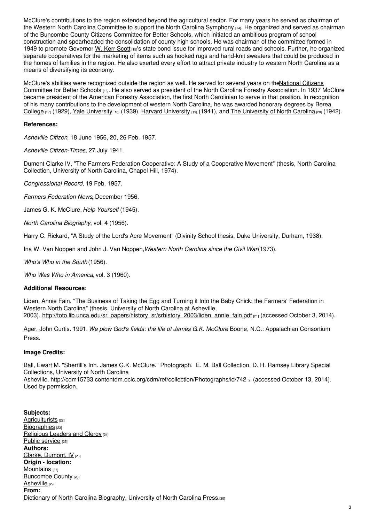McClure's contributions to the region extended beyond the agricultural sector. For many years he served as chairman of the Western North Carolina Committee to support the North Carolina [Symphony](https://ncpedia.org/north-carolina-symphony) [14]. He organized and served as chairman of the Buncombe County Citizens Committee for Better Schools, which initiated an ambitious program of school construction and spearheaded the consolidation of county high schools. He was chairman of the committee formed in 1949 to promote Governor W. Kerr [Scott](https://ncpedia.org/biography/scott-william-kerr) [15]'s state bond issue for improved rural roads and schools. Further, he organized separate cooperatives for the marketing of items such as hooked rugs and hand-knit sweaters that could be produced in the homes of families in the region. He also exerted every effort to attract private industry to western North Carolina as a means of diversifying its economy.

McClure's abilities were recognized outside the region as well. He served for several years on the National Citizens Committee for Better Schools [16]. He also served as president of the North Carolina Forestry [Association.](http://www.jstor.org/stable/1473009) In 1937 McClure became president of the American Forestry Association, the first North Carolinian to serve in that position. In recognition of his many contributions to the [development](http://www.berea.edu/) of western North Carolina, he was awarded honorary degrees by Berea College [17] (1929), Yale [University](https://ncpedia.org/university-north-carolina-chapel-hi) [18] (1939), Harvard University [19] (1941), and The University of North Carolina [20] (1942).

# **References:**

*Asheville Citizen*, 18 June 1956, 20, 26 Feb. 1957.

*Asheville Citizen-Times*, 27 July 1941.

Dumont Clarke IV, "The Farmers Federation Cooperative: A Study of a Cooperative Movement" (thesis, North Carolina Collection, University of North Carolina, Chapel Hill, 1974).

*Congressional Record*, 19 Feb. 1957.

*Farmers Federation News*, December 1956.

James G. K. McClure, *Help Yourself* (1945).

*North Carolina Biography*, vol. 4 (1956).

Harry C. Rickard, "A Study of the Lord's Acre Movement" (Divinity School thesis, Duke University, Durham, 1938).

Ina W. Van Noppen and John J. Van Noppen,*Western North Carolina since the Civil War*(1973).

*Who's Who in the South* (1956).

*Who Was Who in America*, vol. 3 (1960).

### **Additional Resources:**

Liden, Annie Fain. "The Business of Taking the Egg and Turning it Into the Baby Chick: the Farmers' Federation in Western North Carolina" (thesis, University of North Carolina at Asheville, 2003). [http://toto.lib.unca.edu/sr\\_papers/history\\_sr/srhistory\\_2003/liden\\_annie\\_fain.pdf](http://toto.lib.unca.edu/sr_papers/history_sr/srhistory_2003/liden_annie_fain.pdf) [21] (accessed October 3, 2014).

Ager, John Curtis. 1991. *We plow God's fields: the life of James G.K. McClure*. Boone, N.C.: Appalachian Consortium Press.

### **Image Credits:**

Ball, Ewart M. "Sherrill's Inn. James G.K. McClure." Photograph. E. M. Ball Collection, D. H. Ramsey Library Special Collections, University of North Carolina Asheville. <http://cdm15733.contentdm.oclc.org/cdm/ref/collection/Photographs/id/742> [2] (accessed October 13, 2014). Used by permission.

**Subjects:** [Agriculturists](https://ncpedia.org/category/subjects/agriculturists) [22] [Biographies](https://ncpedia.org/category/subjects/biography-term) [23] [Religious](https://ncpedia.org/category/subjects/clergy) Leaders and Clergy [24] Public [service](https://ncpedia.org/category/subjects/public-service) [25] **Authors:** Clarke, [Dumont,](https://ncpedia.org/category/authors/clarke-dumont-iv) IV [26] **Origin - location:** [Mountains](https://ncpedia.org/category/origin-location/mountains) [27] [Buncombe](https://ncpedia.org/category/origin-location/mountain-8) County [28] [Asheville](https://ncpedia.org/category/origin-location/mountain-9) [29] **From:** Dictionary of North Carolina [Biography,](https://ncpedia.org/category/entry-source/dictionary-no) University of North Carolina Press.[30]